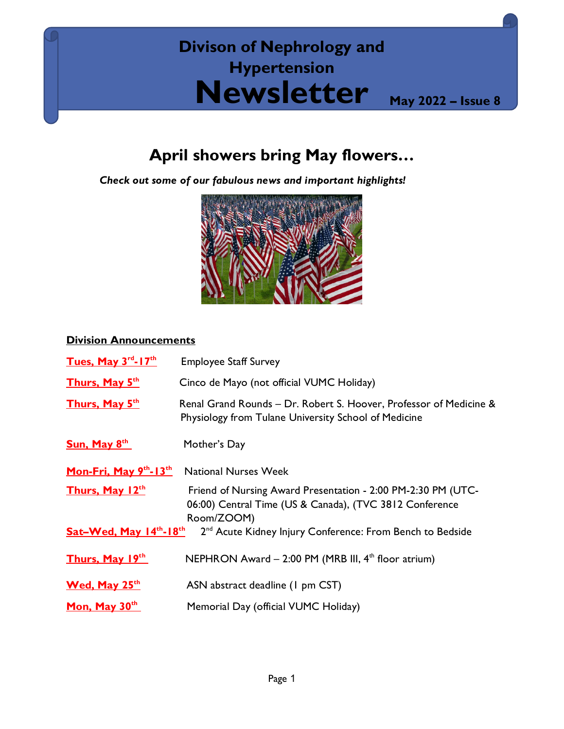# **Divison of Nephrology and Hypertension Newsletter May <sup>2022</sup> – Issue 8**

## **April showers bring May flowers…**

*Check out some of our fabulous news and important highlights!*



### **Division Announcements**

| Tues, May $3^{rd}$ -17 <sup>th</sup>                                                                              | <b>Employee Staff Survey</b>                                                                                                          |
|-------------------------------------------------------------------------------------------------------------------|---------------------------------------------------------------------------------------------------------------------------------------|
| Thurs, May 5 <sup>th</sup>                                                                                        | Cinco de Mayo (not official VUMC Holiday)                                                                                             |
| Thurs, May 5 <sup>th</sup>                                                                                        | Renal Grand Rounds - Dr. Robert S. Hoover, Professor of Medicine &<br>Physiology from Tulane University School of Medicine            |
| Sun, May 8 <sup>th</sup>                                                                                          | Mother's Day                                                                                                                          |
| Mon-Fri, May $9th$ -13 <sup>th</sup>                                                                              | <b>National Nurses Week</b>                                                                                                           |
| Thurs, May 12th                                                                                                   | Friend of Nursing Award Presentation - 2:00 PM-2:30 PM (UTC-<br>06:00) Central Time (US & Canada), (TVC 3812 Conference<br>Room/ZOOM) |
| 2 <sup>nd</sup> Acute Kidney Injury Conference: From Bench to Bedside<br>Sat-Wed, May $14^{th}$ -18 <sup>th</sup> |                                                                                                                                       |
| Thurs, May 19th                                                                                                   | NEPHRON Award - 2:00 PM (MRB III, 4 <sup>th</sup> floor atrium)                                                                       |
| <b>Wed, May 25<sup>th</sup></b>                                                                                   | ASN abstract deadline (1 pm CST)                                                                                                      |
| Mon, May 30th                                                                                                     | Memorial Day (official VUMC Holiday)                                                                                                  |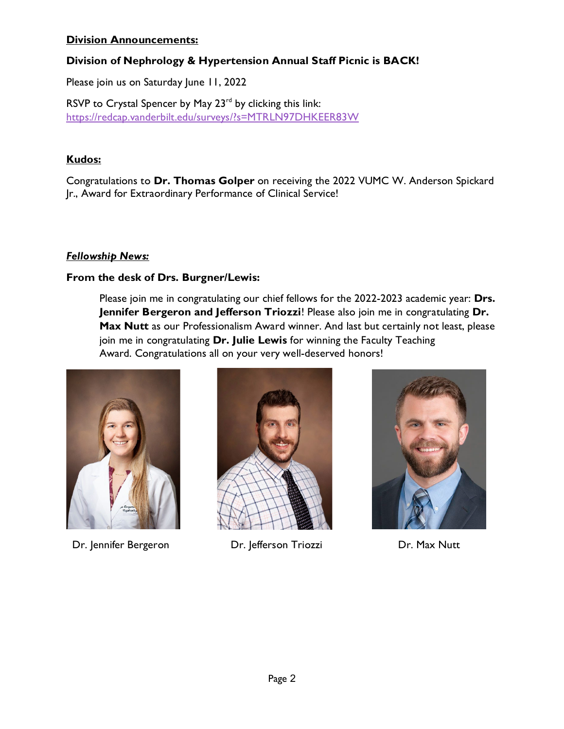#### **Division Announcements:**

#### **Division of Nephrology & Hypertension Annual Staff Picnic is BACK!**

Please join us on Saturday June 11, 2022

RSVP to Crystal Spencer by May 23<sup>rd</sup> by clicking this link: <https://redcap.vanderbilt.edu/surveys/?s=MTRLN97DHKEER83W>

#### **Kudos:**

Congratulations to **Dr. Thomas Golper** on receiving the 2022 VUMC W. Anderson Spickard Jr., Award for Extraordinary Performance of Clinical Service!

#### *Fellowship News:*

#### **From the desk of Drs. Burgner/Lewis:**

Please join me in congratulating our chief fellows for the 2022-2023 academic year: **Drs. Jennifer Bergeron and Jefferson Triozzi**! Please also join me in congratulating **Dr.**  Max Nutt as our Professionalism Award winner. And last but certainly not least, please join me in congratulating **Dr. Julie Lewis** for winning the Faculty Teaching Award. Congratulations all on your very well-deserved honors!



Dr. Jennifer Bergeron Dr. Jefferson Triozzi Dr. Max Nutt



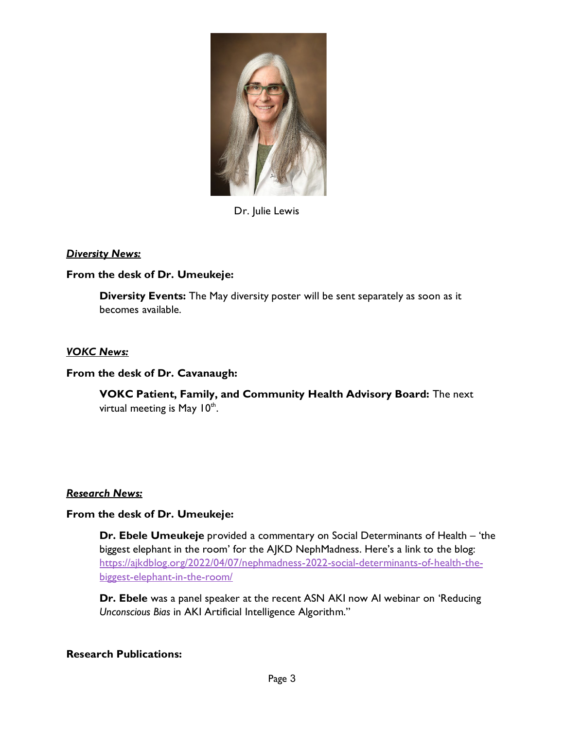

Dr. Julie Lewis

#### *Diversity News:*

#### **From the desk of Dr. Umeukeje:**

**Diversity Events:** The May diversity poster will be sent separately as soon as it becomes available.

#### *VOKC News:*

#### **From the desk of Dr. Cavanaugh:**

**VOKC Patient, Family, and Community Health Advisory Board:** The next virtual meeting is May  $10<sup>th</sup>$ .

#### *Research News:*

#### **From the desk of Dr. Umeukeje:**

**Dr. Ebele Umeukeje** provided a commentary on Social Determinants of Health – 'the biggest elephant in the room' for the AJKD NephMadness. Here's a link to the blog: [https://ajkdblog.org/2022/04/07/nephmadness-2022-social-determinants-of-health-the](https://ajkdblog.org/2022/04/07/nephmadness-2022-social-determinants-of-health-the-biggest-elephant-in-the-room/)[biggest-elephant-in-the-room/](https://ajkdblog.org/2022/04/07/nephmadness-2022-social-determinants-of-health-the-biggest-elephant-in-the-room/)

**Dr. Ebele** was a panel speaker at the recent ASN AKI now AI webinar on 'Reducing *Unconscious Bias* in AKI Artificial Intelligence Algorithm."

#### **Research Publications:**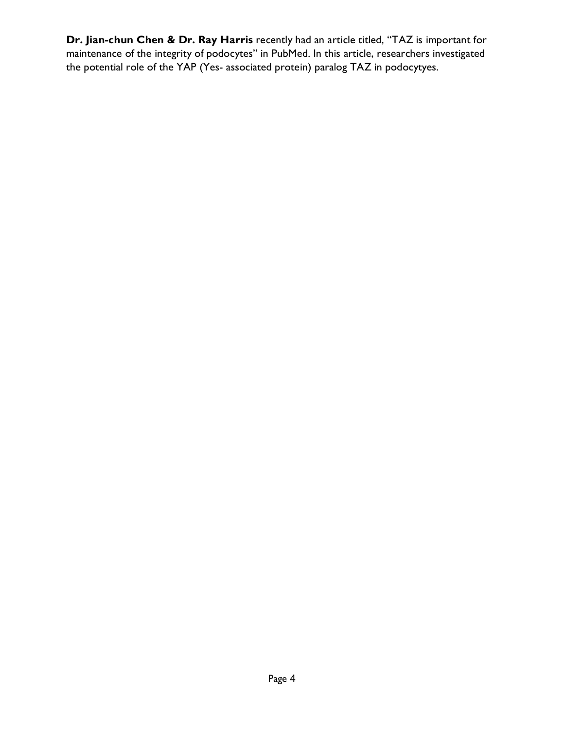**Dr. Jian-chun Chen & Dr. Ray Harris** recently had an article titled, "TAZ is important for maintenance of the integrity of podocytes" in PubMed. In this article, researchers investigated the potential role of the YAP (Yes- associated protein) paralog TAZ in podocytyes.